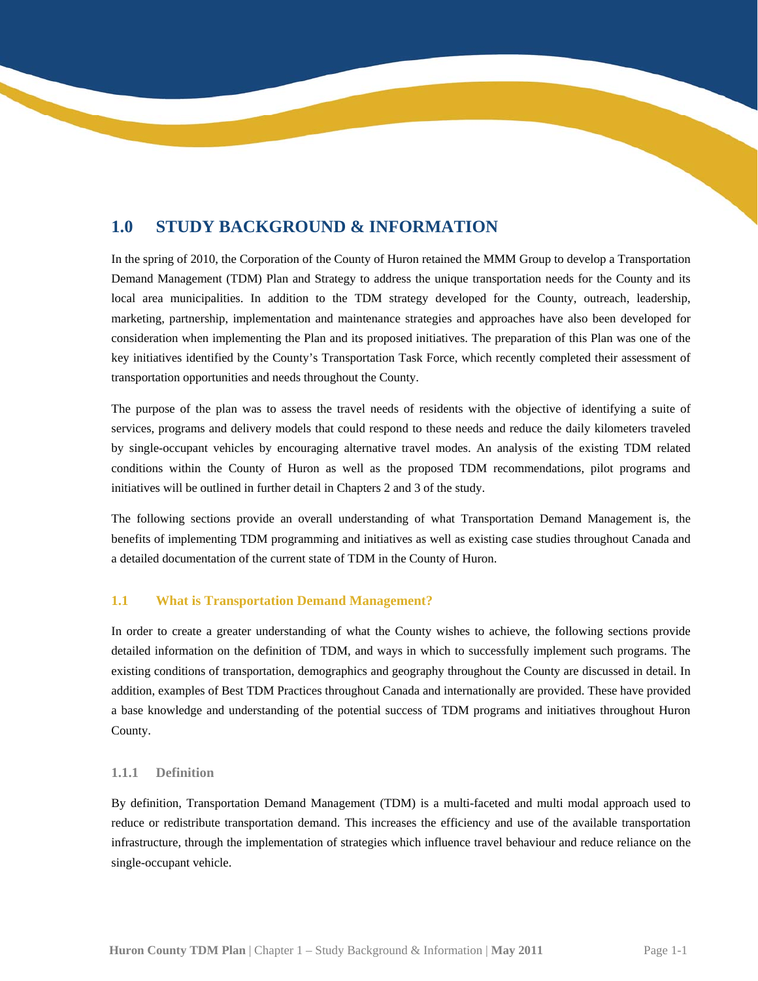# **1.0 STUDY BACKGROUND & INFORMATION**

In the spring of 2010, the Corporation of the County of Huron retained the MMM Group to develop a Transportation Demand Management (TDM) Plan and Strategy to address the unique transportation needs for the County and its local area municipalities. In addition to the TDM strategy developed for the County, outreach, leadership, marketing, partnership, implementation and maintenance strategies and approaches have also been developed for consideration when implementing the Plan and its proposed initiatives. The preparation of this Plan was one of the key initiatives identified by the County's Transportation Task Force, which recently completed their assessment of transportation opportunities and needs throughout the County.

The purpose of the plan was to assess the travel needs of residents with the objective of identifying a suite of services, programs and delivery models that could respond to these needs and reduce the daily kilometers traveled by single-occupant vehicles by encouraging alternative travel modes. An analysis of the existing TDM related conditions within the County of Huron as well as the proposed TDM recommendations, pilot programs and initiatives will be outlined in further detail in Chapters 2 and 3 of the study.

 The following sections provide an overall understanding of what Transportation Demand Management is, the a detailed documentation of the current state of TDM in the County of Huron. benefits of implementing TDM programming and initiatives as well as existing case studies throughout Canada and

# **1.1 What is Transportation Demand Management?**

 a base knowledge and understanding of the potential success of TDM programs and initiatives throughout Huron In order to create a greater understanding of what the County wishes to achieve, the following sections provide detailed information on the definition of TDM, and ways in which to successfully implement such programs. The existing conditions of transportation, demographics and geography throughout the County are discussed in detail. In addition, examples of Best TDM Practices throughout Canada and internationally are provided. These have provided County.

## **1.1.1 Definition**

 By definition, Transportation Demand Management (TDM) is a multi-faceted and multi modal approach used to reduce or redistribute transportation demand. This increases the efficiency and use of the available transportation infrastructure, through the implementation of strategies which influence travel behaviour and reduce reliance on the single-occupant vehicle.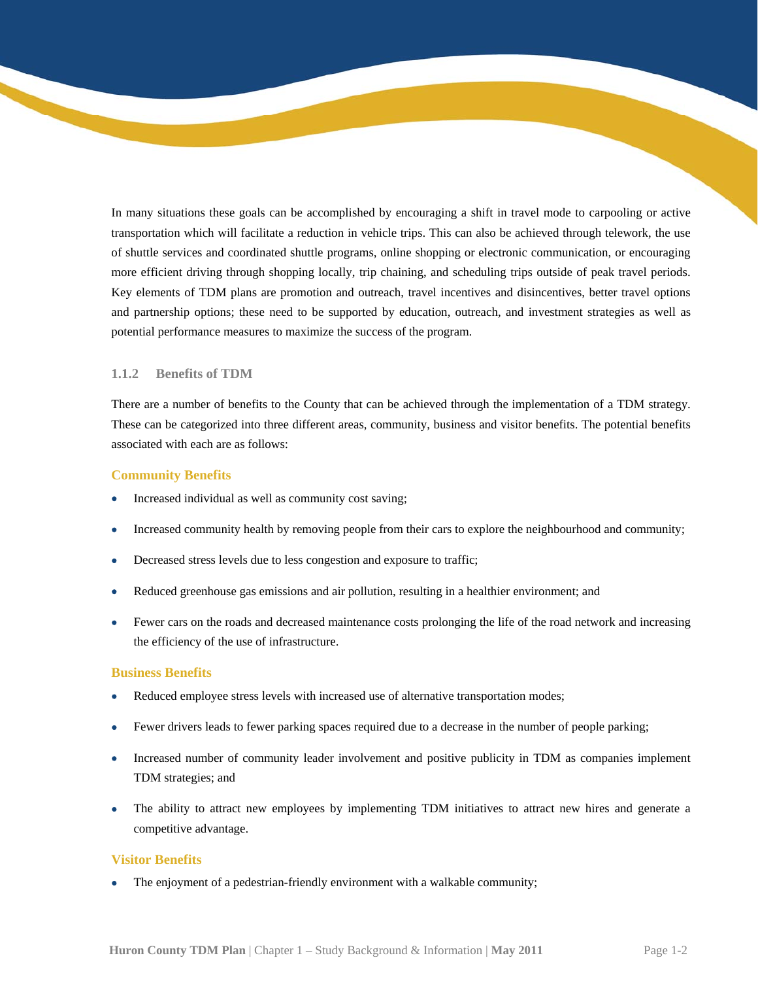potential performance measures to maximize the success of the program. In many situations these goals can be accomplished by encouraging a shift in travel mode to carpooling or active transportation which will facilitate a reduction in vehicle trips. This can also be achieved through telework, the use of shuttle services and coordinated shuttle programs, online shopping or electronic communication, or encouraging more efficient driving through shopping locally, trip chaining, and scheduling trips outside of peak travel periods. Key elements of TDM plans are promotion and outreach, travel incentives and disincentives, better travel options and partnership options; these need to be supported by education, outreach, and investment strategies as well as

# **1.1.2 Benefits of TDM**

There are a number of benefits to the County that can be achieved through the implementation of a TDM strategy. These can be categorized into three different areas, community, business and visitor benefits. The potential benefits associated with each are as follows:

### **Community Benefits**

- Increased individual as well as community cost saving;
- Increased community health by removing people from their cars to explore the neighbourhood and community;
- Decreased stress levels due to less congestion and exposure to traffic;
- Reduced greenhouse gas emissions and air pollution, resulting in a healthier environment; and
- Fewer cars on the roads and decreased maintenance costs prolonging the life of the road network and increasing the efficiency of the use of infrastructure.

#### **Business Benefits**

- Reduced employee stress levels with increased use of alternative transportation modes;
- Fewer drivers leads to fewer parking spaces required due to a decrease in the number of people parking;
- Increased number of community leader involvement and positive publicity in TDM as companies implement TDM strategies; and
- The ability to attract new employees by implementing TDM initiatives to attract new hires and generate a competitive advantage.

### **Visitor Benefits**

 The enjoyment of a pedestrian-friendly environment with a walkable community;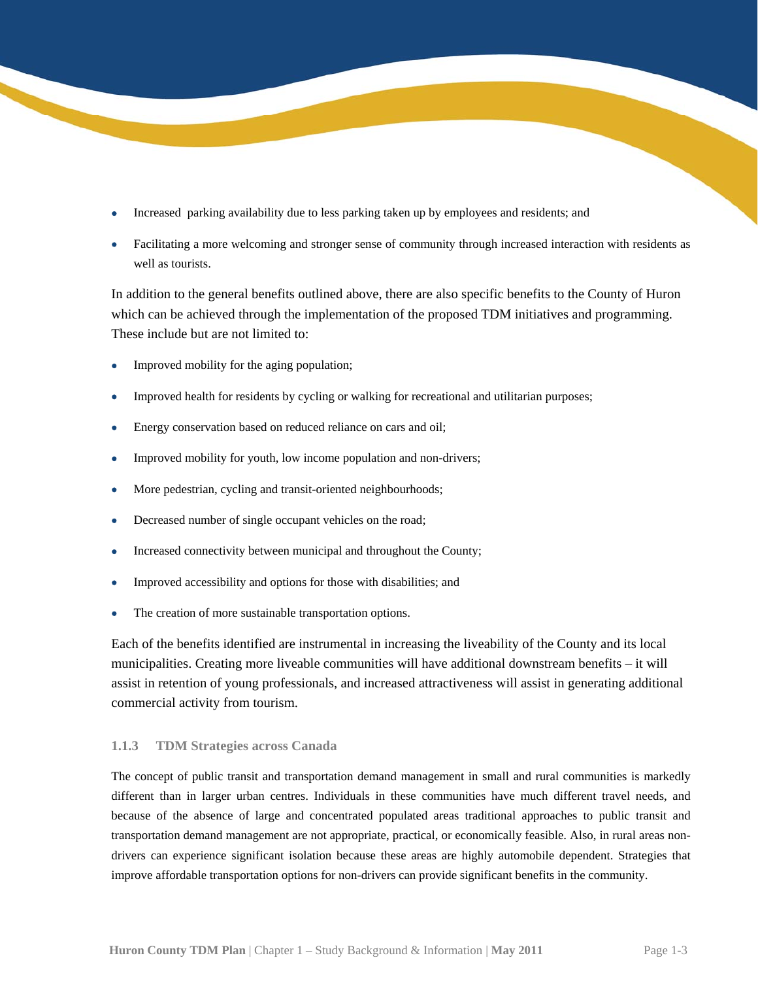- Increased parking availability due to less parking taken up by employees and residents; and
- Facilitating a more welcoming and stronger sense of community through increased interaction with residents as well as tourists.

In addition to the general benefits outlined above, there are also specific benefits to the County of Huron which can be achieved through the implementation of the proposed TDM initiatives and programming. These include but are not limited to:

- Improved mobility for the aging population;
- Improved health for residents by cycling or walking for recreational and utilitarian purposes;
- Energy conservation based on reduced reliance on cars and oil;
- Improved mobility for youth, low income population and non-drivers;
- More pedestrian, cycling and transit-oriented neighbourhoods;
- Decreased number of single occupant vehicles on the road;
- Increased connectivity between municipal and throughout the County;
- Improved accessibility and options for those with disabilities; and
- The creation of more sustainable transportation options.

 commercial activity from tourism. Each of the benefits identified are instrumental in increasing the liveability of the County and its local municipalities. Creating more liveable communities will have additional downstream benefits – it will assist in retention of young professionals, and increased attractiveness will assist in generating additional

## **1.1.3 TDM Strategies across Canada**

 The concept of public transit and transportation demand management in small and rural communities is markedly different than in larger urban centres. Individuals in these communities have much different travel needs, and because of the absence of large and concentrated populated areas traditional approaches to public transit and transportation demand management are not appropriate, practical, or economically feasible. Also, in rural areas nondrivers can experience significant isolation because these areas are highly automobile dependent. Strategies that improve affordable transportation options for non-drivers can provide significant benefits in the community.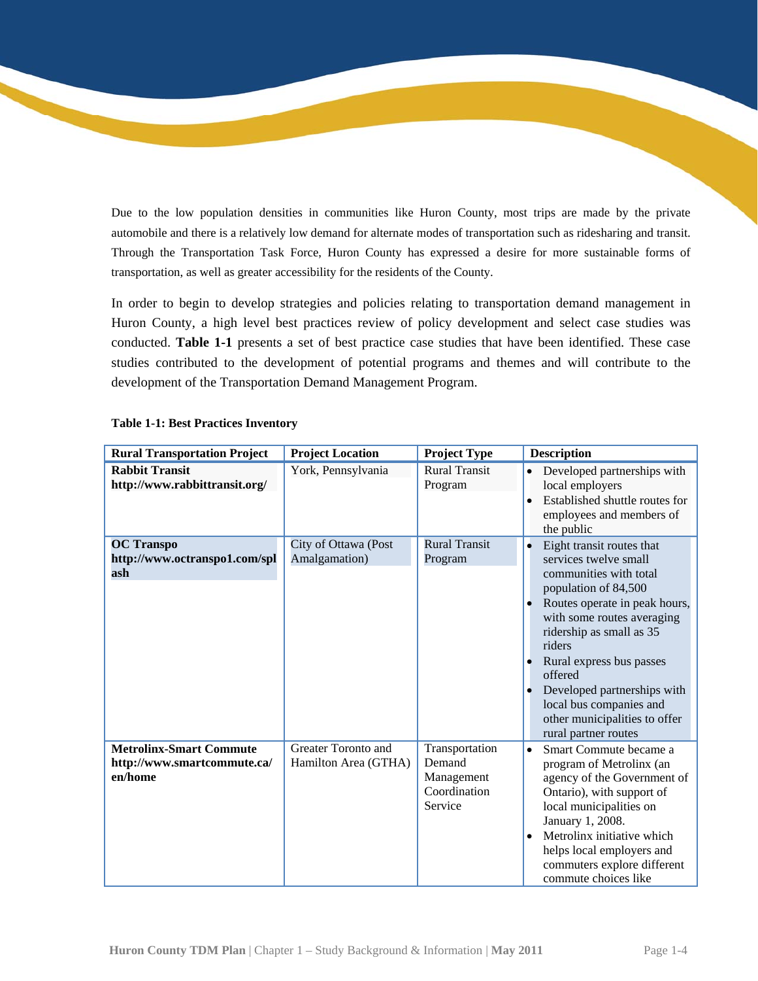Due to the low population densities in communities like Huron County, most trips are made by the private automobile and there is a relatively low demand for alternate modes of transportation such as ridesharing and transit. Through the Transportation Task Force, Huron County has expressed a desire for more sustainable forms of transportation, as well as greater accessibility for the residents of the County.

In order to begin to develop strategies and policies relating to transportation demand management in Huron County, a high level best practices review of policy development and select case studies was conducted. **Table 1-1** presents a set of best practice case studies that have been identified. These case studies contributed to the development of potential programs and themes and will contribute to the development of the Transportation Demand Management Program.

| <b>Rural Transportation Project</b>                                      | <b>Project Location</b>                     | <b>Project Type</b>                                               | <b>Description</b>                                                                                                                                                                                                                                                                                                                                                               |
|--------------------------------------------------------------------------|---------------------------------------------|-------------------------------------------------------------------|----------------------------------------------------------------------------------------------------------------------------------------------------------------------------------------------------------------------------------------------------------------------------------------------------------------------------------------------------------------------------------|
| <b>Rabbit Transit</b><br>http://www.rabbittransit.org/                   | York, Pennsylvania                          | <b>Rural Transit</b><br>Program                                   | Developed partnerships with<br>$\bullet$<br>local employers<br>Established shuttle routes for<br>$\bullet$<br>employees and members of<br>the public                                                                                                                                                                                                                             |
| <b>OC</b> Transpo<br>http://www.octranspo1.com/spl<br>ash                | City of Ottawa (Post<br>Amalgamation)       | <b>Rural Transit</b><br>Program                                   | Eight transit routes that<br>$\bullet$<br>services twelve small<br>communities with total<br>population of 84,500<br>Routes operate in peak hours,<br>with some routes averaging<br>ridership as small as 35<br>riders<br>Rural express bus passes<br>offered<br>Developed partnerships with<br>local bus companies and<br>other municipalities to offer<br>rural partner routes |
| <b>Metrolinx-Smart Commute</b><br>http://www.smartcommute.ca/<br>en/home | Greater Toronto and<br>Hamilton Area (GTHA) | Transportation<br>Demand<br>Management<br>Coordination<br>Service | Smart Commute became a<br>$\bullet$<br>program of Metrolinx (an<br>agency of the Government of<br>Ontario), with support of<br>local municipalities on<br>January 1, 2008.<br>Metrolinx initiative which<br>$\bullet$<br>helps local employers and<br>commuters explore different<br>commute choices like                                                                        |

## **Table 1-1: Best Practices Inventory**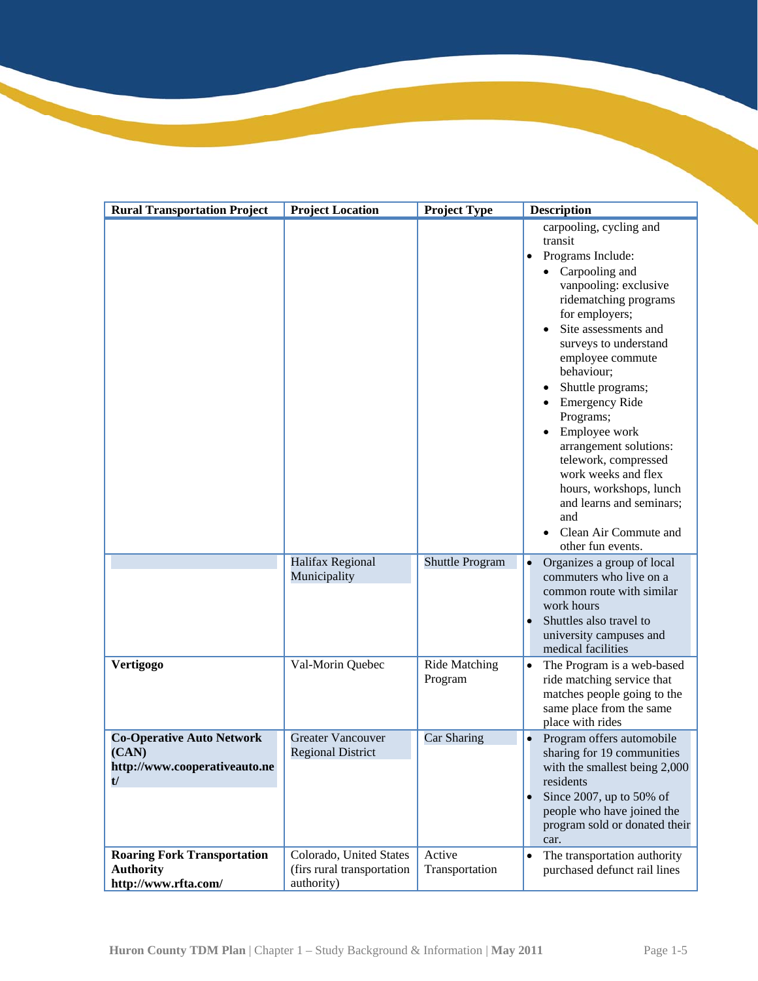| <b>Rural Transportation Project</b>                                              | <b>Project Location</b>                                             | <b>Project Type</b>             | <b>Description</b>                                                                                                                                                                                                                                                                                                                                                                                                                                                                                             |
|----------------------------------------------------------------------------------|---------------------------------------------------------------------|---------------------------------|----------------------------------------------------------------------------------------------------------------------------------------------------------------------------------------------------------------------------------------------------------------------------------------------------------------------------------------------------------------------------------------------------------------------------------------------------------------------------------------------------------------|
|                                                                                  |                                                                     |                                 | carpooling, cycling and<br>transit<br>Programs Include:<br>$\bullet$<br>Carpooling and<br>vanpooling: exclusive<br>ridematching programs<br>for employers;<br>Site assessments and<br>surveys to understand<br>employee commute<br>behaviour;<br>Shuttle programs;<br><b>Emergency Ride</b><br>Programs;<br>Employee work<br>arrangement solutions:<br>telework, compressed<br>work weeks and flex<br>hours, workshops, lunch<br>and learns and seminars;<br>and<br>Clean Air Commute and<br>other fun events. |
|                                                                                  | Halifax Regional<br>Municipality                                    | <b>Shuttle Program</b>          | Organizes a group of local<br>commuters who live on a<br>common route with similar<br>work hours<br>Shuttles also travel to<br>university campuses and<br>medical facilities                                                                                                                                                                                                                                                                                                                                   |
| Vertigogo                                                                        | Val-Morin Quebec                                                    | <b>Ride Matching</b><br>Program | The Program is a web-based<br>$\bullet$<br>ride matching service that<br>matches people going to the<br>same place from the same<br>place with rides                                                                                                                                                                                                                                                                                                                                                           |
| <b>Co-Operative Auto Network</b><br>(CAN)<br>http://www.cooperativeauto.ne<br>t/ | <b>Greater Vancouver</b><br><b>Regional District</b>                | Car Sharing                     | Program offers automobile<br>sharing for 19 communities<br>with the smallest being 2,000<br>residents<br>Since 2007, up to 50% of<br>people who have joined the<br>program sold or donated their<br>car.                                                                                                                                                                                                                                                                                                       |
| <b>Roaring Fork Transportation</b><br><b>Authority</b><br>http://www.rfta.com/   | Colorado, United States<br>(firs rural transportation<br>authority) | Active<br>Transportation        | The transportation authority<br>$\bullet$<br>purchased defunct rail lines                                                                                                                                                                                                                                                                                                                                                                                                                                      |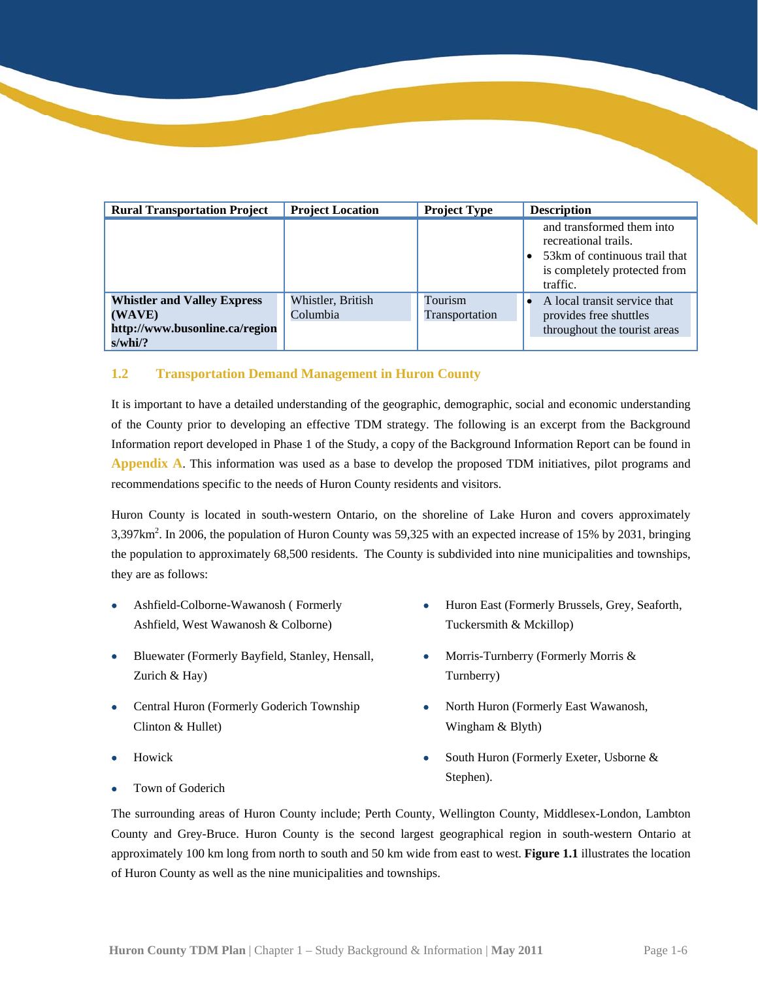| <b>Rural Transportation Project</b>                                                          | <b>Project Location</b>       | <b>Project Type</b>       | <b>Description</b>                                                                                                              |
|----------------------------------------------------------------------------------------------|-------------------------------|---------------------------|---------------------------------------------------------------------------------------------------------------------------------|
|                                                                                              |                               |                           | and transformed them into<br>recreational trails.<br>53 km of continuous trail that<br>is completely protected from<br>traffic. |
| <b>Whistler and Valley Express</b><br>(WAVE)<br>http://www.busonline.ca/region<br>$s$ /whi/? | Whistler, British<br>Columbia | Tourism<br>Transportation | A local transit service that<br>provides free shuttles<br>throughout the tourist areas                                          |

## **1.2 Transportation Demand Management in Huron County**

 **Appendix A**. This information was used as a base to develop the proposed TDM initiatives, pilot programs and recommendations specific to the needs of Huron County residents and visitors. It is important to have a detailed understanding of the geographic, demographic, social and economic understanding of the County prior to developing an effective TDM strategy. The following is an excerpt from the Background Information report developed in Phase 1 of the Study, a copy of the Background Information Report can be found in

3,397km<sup>2</sup>. In 2006, the population of Huron County was 59,325 with an expected increase of 15% by 2031, bringing Huron County is located in south-western Ontario, on the shoreline of Lake Huron and covers approximately the population to approximately 68,500 residents. The County is subdivided into nine municipalities and townships, they are as follows:

- Ashfield, West Wawanosh & Colborne) Tuckersmith & Mckillop)
- Bluewater (Formerly Bayfield, Stanley, Hensall, Morris-Turnberry (Formerly Morris & Zurich & Hay) Turnberry
- Central Huron (Formerly Goderich Township  $\bullet$  North Huron (Formerly East Wawanosh, Clinton & Hullet) Wingham & Blyth
- 
- Town of Goderich **Stephen**).
- Ashfield-Colborne-Wawanosh ( Formerly **College France East ( Formerly Brussels**, Grey, Seaforth,
	-
	-
- Howick **South Huron (Formerly Exeter, Usborne &** South Huron (Formerly Exeter, Usborne &

 approximately 100 km long from north to south and 50 km wide from east to west. **Figure 1.1** illustrates the location The surrounding areas of Huron County include; Perth County, Wellington County, Middlesex-London, Lambton County and Grey-Bruce. Huron County is the second largest geographical region in south-western Ontario at of Huron County as well as the nine municipalities and townships.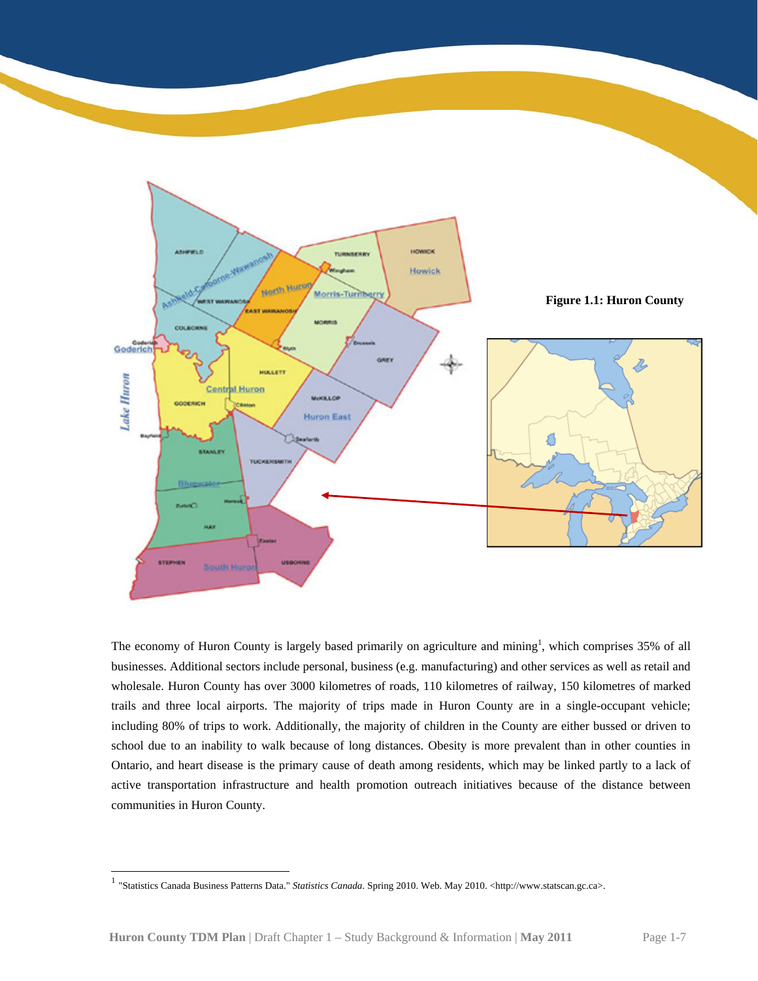

 school due to an inability to walk because of long distances. Obesity is more prevalent than in other counties in The economy of Huron County is largely based primarily on agriculture and mining<sup>1</sup>, which comprises 35% of all businesses. Additional sectors include personal, business (e.g. manufacturing) and other services as well as retail and wholesale. Huron County has over 3000 kilometres of roads, 110 kilometres of railway, 150 kilometres of marked trails and three local airports. The majority of trips made in Huron County are in a single-occupant vehicle; including 80% of trips to work. Additionally, the majority of children in the County are either bussed or driven to Ontario, and heart disease is the primary cause of death among residents, which may be linked partly to a lack of active transportation infrastructure and health promotion outreach initiatives because of the distance between communities in Huron County.

l

<sup>1 &</sup>quot;Statistics Canada Business Patterns Data." *Statistics Canada*. Spring 2010. Web. May 2010. <http://www.statscan.gc.ca>.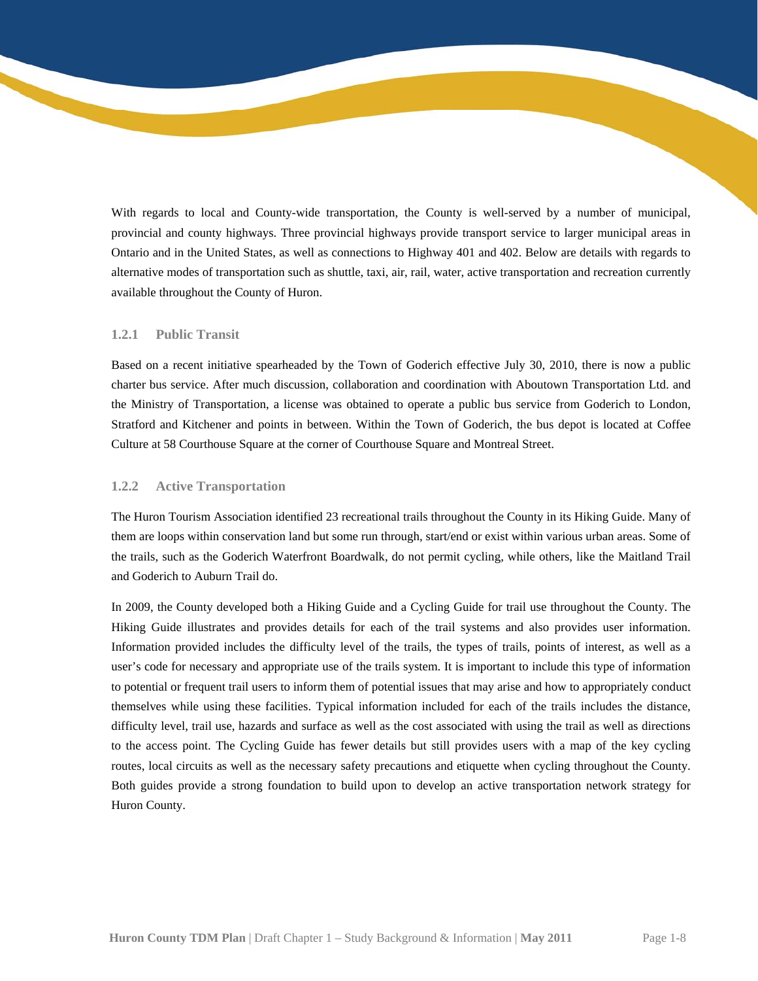With regards to local and County-wide transportation, the County is well-served by a number of municipal, provincial and county highways. Three provincial highways provide transport service to larger municipal areas in Ontario and in the United States, as well as connections to Highway 401 and 402. Below are details with regards to alternative modes of transportation such as shuttle, taxi, air, rail, water, active transportation and recreation currently available throughout the County of Huron.

## **1.2.1 Public Transit**

 Stratford and Kitchener and points in between. Within the Town of Goderich, the bus depot is located at Coffee Based on a recent initiative spearheaded by the Town of Goderich effective July 30, 2010, there is now a public charter bus service. After much discussion, collaboration and coordination with Aboutown Transportation Ltd. and the Ministry of Transportation, a license was obtained to operate a public bus service from Goderich to London, Culture at 58 Courthouse Square at the corner of Courthouse Square and Montreal Street.

## **1.2.2 Active Transportation**

The Huron Tourism Association identified 23 recreational trails throughout the County in its Hiking Guide. Many of them are loops within conservation land but some run through, start/end or exist within various urban areas. Some of the trails, such as the Goderich Waterfront Boardwalk, do not permit cycling, while others, like the Maitland Trail and Goderich to Auburn Trail do.

 In 2009, the County developed both a Hiking Guide and a Cycling Guide for trail use throughout the County. The Huron County. Hiking Guide illustrates and provides details for each of the trail systems and also provides user information. Information provided includes the difficulty level of the trails, the types of trails, points of interest, as well as a user's code for necessary and appropriate use of the trails system. It is important to include this type of information to potential or frequent trail users to inform them of potential issues that may arise and how to appropriately conduct themselves while using these facilities. Typical information included for each of the trails includes the distance, difficulty level, trail use, hazards and surface as well as the cost associated with using the trail as well as directions to the access point. The Cycling Guide has fewer details but still provides users with a map of the key cycling routes, local circuits as well as the necessary safety precautions and etiquette when cycling throughout the County. Both guides provide a strong foundation to build upon to develop an active transportation network strategy for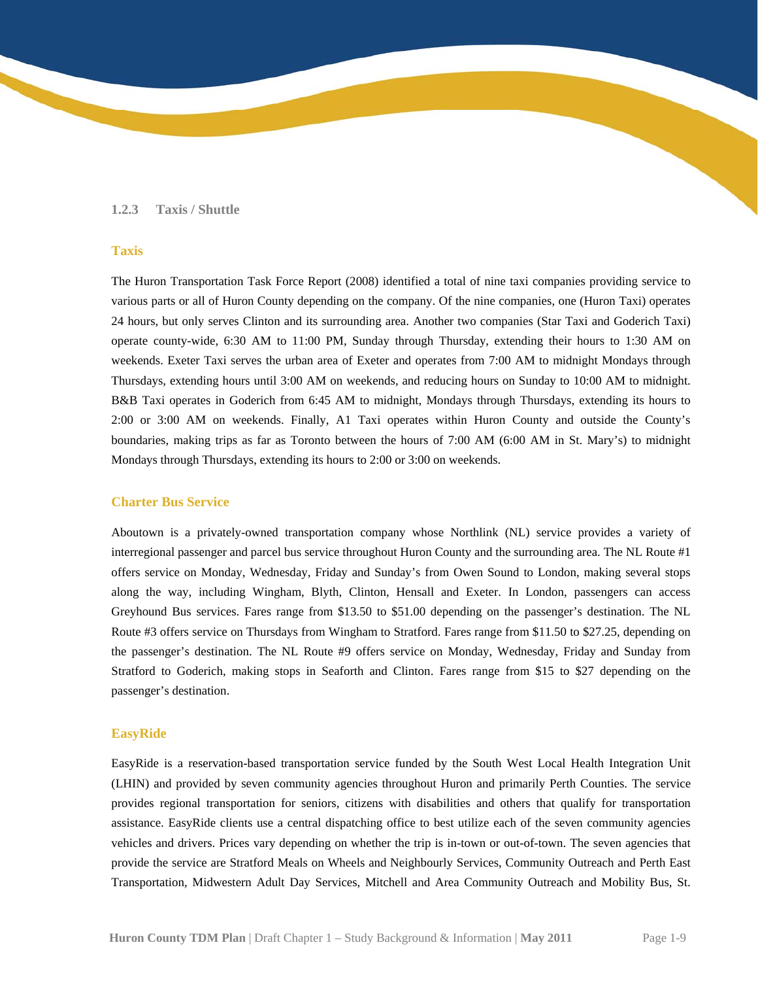#### **1.2.3 Taxis / Shuttle**

## **Taxis**

 operate county-wide, 6:30 AM to 11:00 PM, Sunday through Thursday, extending their hours to 1:30 AM on Thursdays, extending hours until 3:00 AM on weekends, and reducing hours on Sunday to 10:00 AM to midnight. The Huron Transportation Task Force Report (2008) identified a total of nine taxi companies providing service to various parts or all of Huron County depending on the company. Of the nine companies, one (Huron Taxi) operates 24 hours, but only serves Clinton and its surrounding area. Another two companies (Star Taxi and Goderich Taxi) weekends. Exeter Taxi serves the urban area of Exeter and operates from 7:00 AM to midnight Mondays through B&B Taxi operates in Goderich from 6:45 AM to midnight, Mondays through Thursdays, extending its hours to 2:00 or 3:00 AM on weekends. Finally, A1 Taxi operates within Huron County and outside the County's boundaries, making trips as far as Toronto between the hours of 7:00 AM (6:00 AM in St. Mary's) to midnight Mondays through Thursdays, extending its hours to 2:00 or 3:00 on weekends.

#### **Charter Bus Service**

 passenger's destination. Aboutown is a privately-owned transportation company whose Northlink (NL) service provides a variety of interregional passenger and parcel bus service throughout Huron County and the surrounding area. The NL Route #1 offers service on Monday, Wednesday, Friday and Sunday's from Owen Sound to London, making several stops along the way, including Wingham, Blyth, Clinton, Hensall and Exeter. In London, passengers can access Greyhound Bus services. Fares range from \$13.50 to \$51.00 depending on the passenger's destination. The NL Route #3 offers service on Thursdays from Wingham to Stratford. Fares range from \$11.50 to \$27.25, depending on the passenger's destination. The NL Route #9 offers service on Monday, Wednesday, Friday and Sunday from Stratford to Goderich, making stops in Seaforth and Clinton. Fares range from \$15 to \$27 depending on the

#### **EasyRide**

 EasyRide is a reservation-based transportation service funded by the South West Local Health Integration Unit (LHIN) and provided by seven community agencies throughout Huron and primarily Perth Counties. The service provides regional transportation for seniors, citizens with disabilities and others that qualify for transportation assistance. EasyRide clients use a central dispatching office to best utilize each of the seven community agencies vehicles and drivers. Prices vary depending on whether the trip is in-town or out-of-town. The seven agencies that provide the service are Stratford Meals on Wheels and Neighbourly Services, Community Outreach and Perth East Transportation, Midwestern Adult Day Services, Mitchell and Area Community Outreach and Mobility Bus, St.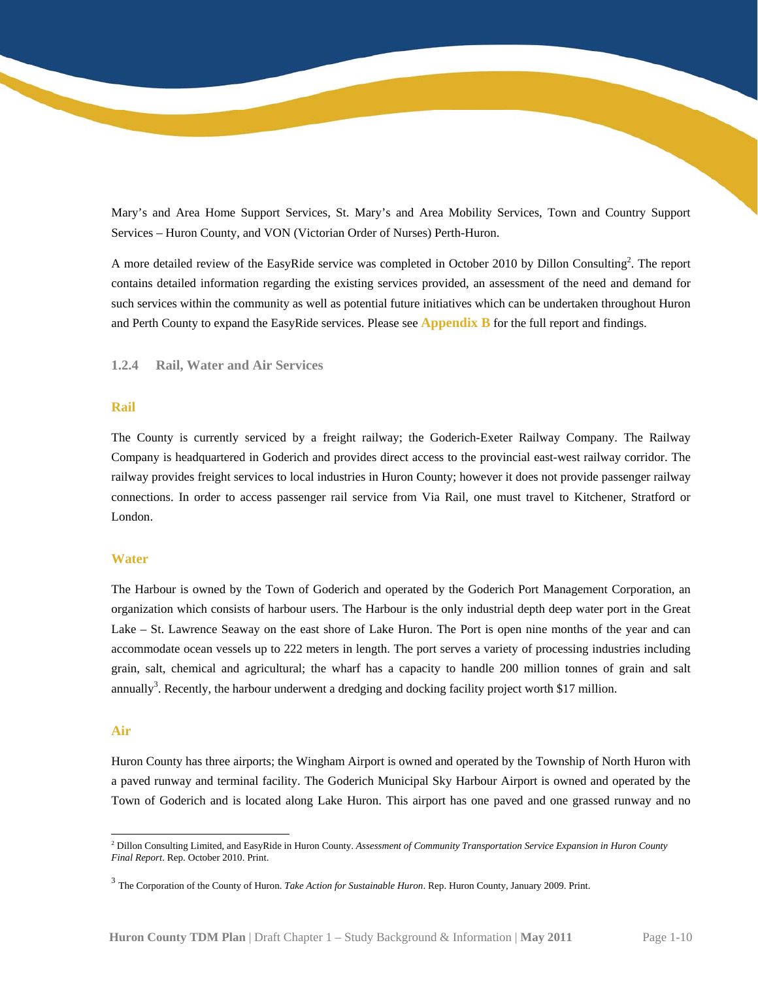Services – Huron County, and VON (Victorian Order of Nurses) Perth-Huron. Mary's and Area Home Support Services, St. Mary's and Area Mobility Services, Town and Country Support

 such services within the community as well as potential future initiatives which can be undertaken throughout Huron A more detailed review of the EasyRide service was completed in October 2010 by Dillon Consulting<sup>2</sup>. The report contains detailed information regarding the existing services provided, an assessment of the need and demand for and Perth County to expand the EasyRide services. Please see **Appendix B** for the full report and findings.

#### **1.2.4 Rail, Water and Air Services**

#### **Rail**

 railway provides freight services to local industries in Huron County; however it does not provide passenger railway The County is currently serviced by a freight railway; the Goderich-Exeter Railway Company. The Railway Company is headquartered in Goderich and provides direct access to the provincial east-west railway corridor. The connections. In order to access passenger rail service from Via Rail, one must travel to Kitchener, Stratford or London.

### **Water**

annually<sup>3</sup>. Recently, the harbour underwent a dredging and docking facility project worth \$17 million. The Harbour is owned by the Town of Goderich and operated by the Goderich Port Management Corporation, an organization which consists of harbour users. The Harbour is the only industrial depth deep water port in the Great Lake – St. Lawrence Seaway on the east shore of Lake Huron. The Port is open nine months of the year and can accommodate ocean vessels up to 222 meters in length. The port serves a variety of processing industries including grain, salt, chemical and agricultural; the wharf has a capacity to handle 200 million tonnes of grain and salt

#### **Air**

l

Huron County has three airports; the Wingham Airport is owned and operated by the Township of North Huron with a paved runway and terminal facility. The Goderich Municipal Sky Harbour Airport is owned and operated by the Town of Goderich and is located along Lake Huron. This airport has one paved and one grassed runway and no

<sup>2</sup> Dillon Consulting Limited, and EasyRide in Huron County. *Assessment of Community Transportation Service Expansion in Huron County Final Report*. Rep. October 2010. Print.

<sup>3</sup> The Corporation of the County of Huron. *Take Action for Sustainable Huron*. Rep. Huron County, January 2009. Print.